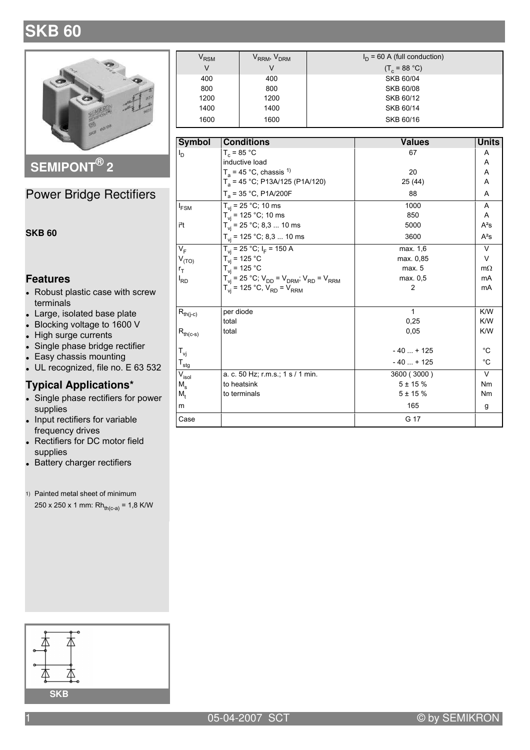# **SKB 60**



SEMIPONT<sup>®</sup> 2

### **Power Bridge Rectifiers**

**SKB 60** 

#### **Features**

- Robust plastic case with screw terminals
- Large, isolated base plate
- Blocking voltage to 1600 V
- High surge currents
- Single phase bridge rectifier
- Easy chassis mounting
- UL recognized, file no. E 63 532

#### **Typical Applications\***

- Single phase rectifiers for power supplies
- Input rectifiers for variable frequency drives
- Rectifiers for DC motor field supplies
- Battery charger rectifiers
- 1) Painted metal sheet of minimum

 $250 \times 250 \times 1$  mm: Rh<sub>th(c-a)</sub> = 1,8 K/W

| $\rm V_{RSM}$ | V <sub>RRM</sub> , V <sub>DRM</sub> | $I_D$ = 60 A (full conduction) |
|---------------|-------------------------------------|--------------------------------|
| V             |                                     | $(T_c = 88 °C)$                |
| 400           | 400                                 | SKB 60/04                      |
| 800           | 800                                 | SKB 60/08                      |
| 1200          | 1200                                | SKB 60/12                      |
| 1400          | 1400                                | SKB 60/14                      |
| 1600          | 1600                                | SKB 60/16                      |

| <b>Symbol</b>                    | <b>Conditions</b>                                             | <b>Values</b> | <b>Units</b> |
|----------------------------------|---------------------------------------------------------------|---------------|--------------|
| ı <sub>d</sub>                   | $T_c = 85 °C$                                                 | 67            | A            |
|                                  | inductive load                                                |               | A            |
|                                  | $T_a$ = 45 °C, chassis <sup>1)</sup>                          | 20            | Α            |
|                                  | $T_a$ = 45 °C; P13A/125 (P1A/120)                             | 25 (44)       | A            |
|                                  | $T_a$ = 35 °C, P1A/200F                                       | 88            | A            |
| $I_{FSM}$                        | $T_{vi}$ = 25 °C; 10 ms                                       | 1000          | A            |
|                                  | $T_{vi}$ = 125 °C; 10 ms                                      | 850           | A            |
| i <sup>2</sup> t                 | $T_{vi}$ = 25 °C, 8,3  10 ms                                  | 5000          | $A^2S$       |
|                                  | $T_{vi}$ = 125 °C; 8,3  10 ms                                 | 3600          | $A^2S$       |
| $V_F$                            | $T_{vi}$ = 25 °C; $I_F$ = 150 A                               | max. 1,6      | $\vee$       |
| $V_{(TO)}$                       | $T_{vi}$ = 125 °C                                             | max. 0.85     | $\vee$       |
| $r_T$                            | $T_{\rm vi}$ = 125 °C                                         | max. 5        | $m\Omega$    |
| l <sub>RD</sub>                  | $T_{vi}$ = 25 °C; $V_{DD}$ = $V_{DRM}$ ; $V_{RD}$ = $V_{RRM}$ | max. 0,5      | mA           |
|                                  | $T_{vi}$ = 125 °C, $V_{RD}$ = $V_{RRM}$                       | 2             | mA           |
| $R_{th(j-c)}$                    | per diode                                                     | 1             | K/W          |
|                                  | total                                                         | 0,25          | K/W          |
| $R_{th(c-s)}$                    | total                                                         | 0,05          | K/W          |
| $T_{\mathsf{vi}}$                |                                                               | $-40+125$     | $^{\circ}C$  |
| $\mathsf{T}_{\mathsf{stg}}$      |                                                               | $-40+125$     | $^{\circ}C$  |
| $\bar{\mathsf{V}}_\mathsf{isol}$ | a. c. 50 Hz; r.m.s.; 1 s / 1 min.                             | 3600 (3000)   | $\vee$       |
| M.                               | to heatsink                                                   | $5 + 15%$     | Nm           |
| M,                               | to terminals                                                  | $5 + 15%$     | Nm           |
| m                                |                                                               | 165           | g            |
| Case                             |                                                               | G 17          |              |

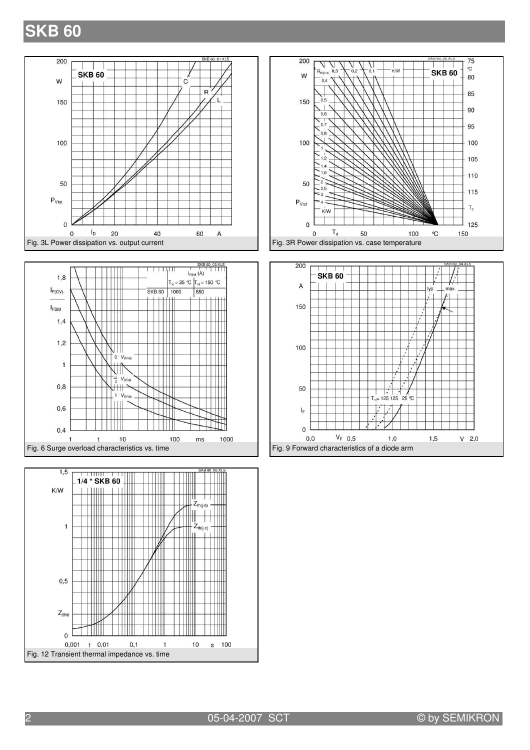## **SKB 60**